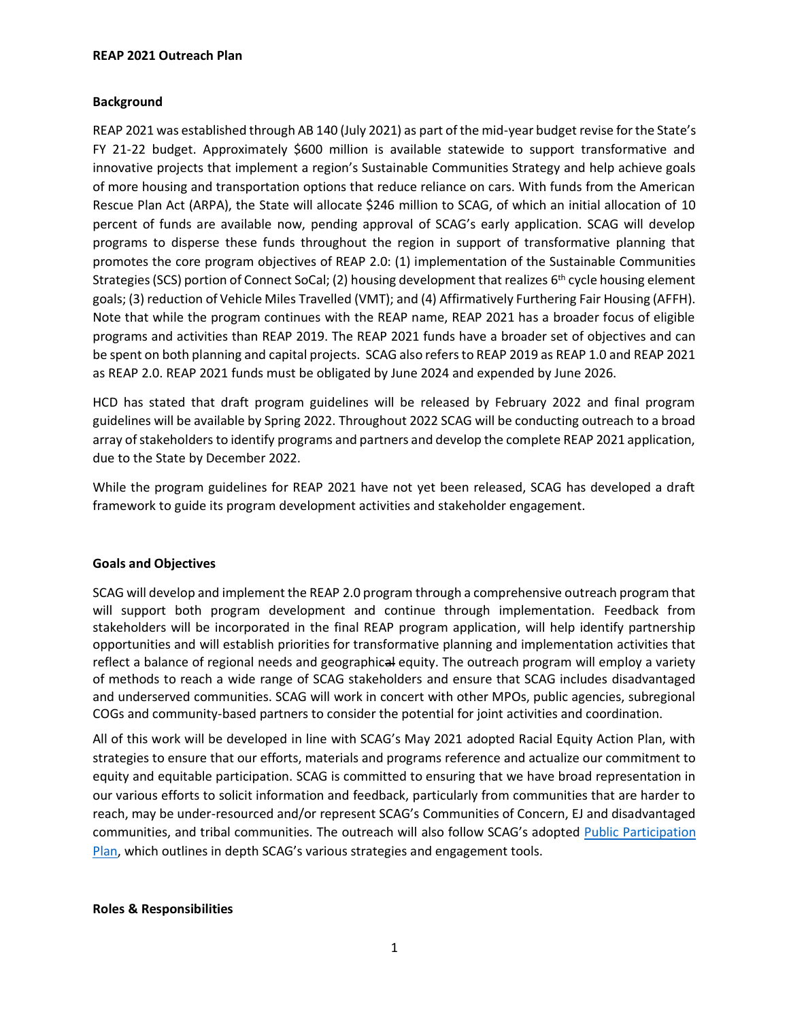#### **REAP 2021 Outreach Plan**

### **Background**

REAP 2021 was established through AB 140 (July 2021) as part of the mid-year budget revise for the State's FY 21-22 budget. Approximately \$600 million is available statewide to support transformative and innovative projects that implement a region's Sustainable Communities Strategy and help achieve goals of more housing and transportation options that reduce reliance on cars. With funds from the American Rescue Plan Act (ARPA), the State will allocate \$246 million to SCAG, of which an initial allocation of 10 percent of funds are available now, pending approval of SCAG's early application. SCAG will develop programs to disperse these funds throughout the region in support of transformative planning that promotes the core program objectives of REAP 2.0: (1) implementation of the Sustainable Communities Strategies (SCS) portion of Connect SoCal; (2) housing development that realizes  $6<sup>th</sup>$  cycle housing element goals; (3) reduction of Vehicle Miles Travelled (VMT); and (4) Affirmatively Furthering Fair Housing (AFFH). Note that while the program continues with the REAP name, REAP 2021 has a broader focus of eligible programs and activities than REAP 2019. The REAP 2021 funds have a broader set of objectives and can be spent on both planning and capital projects. SCAG also refers to REAP 2019 as REAP 1.0 and REAP 2021 as REAP 2.0. REAP 2021 funds must be obligated by June 2024 and expended by June 2026.

HCD has stated that draft program guidelines will be released by February 2022 and final program guidelines will be available by Spring 2022. Throughout 2022 SCAG will be conducting outreach to a broad array of stakeholders to identify programs and partners and develop the complete REAP 2021 application, due to the State by December 2022.

While the program guidelines for REAP 2021 have not yet been released, SCAG has developed a draft framework to guide its program development activities and stakeholder engagement.

### **Goals and Objectives**

SCAG will develop and implement the REAP 2.0 program through a comprehensive outreach program that will support both program development and continue through implementation. Feedback from stakeholders will be incorporated in the final REAP program application, will help identify partnership opportunities and will establish priorities for transformative planning and implementation activities that reflect a balance of regional needs and geographical equity. The outreach program will employ a variety of methods to reach a wide range of SCAG stakeholders and ensure that SCAG includes disadvantaged and underserved communities. SCAG will work in concert with other MPOs, public agencies, subregional COGs and community-based partners to consider the potential for joint activities and coordination.

All of this work will be developed in line with SCAG's May 2021 adopted Racial Equity Action Plan, with strategies to ensure that our efforts, materials and programs reference and actualize our commitment to equity and equitable participation. SCAG is committed to ensuring that we have broad representation in our various efforts to solicit information and feedback, particularly from communities that are harder to reach, may be under-resourced and/or represent SCAG's Communities of Concern, EJ and disadvantaged communities, and tribal communities. The outreach will also follow SCAG's adopted [Public Participation](https://scag.ca.gov/community-participation-public-participation-plan)  [Plan](https://scag.ca.gov/community-participation-public-participation-plan), which outlines in depth SCAG's various strategies and engagement tools.

#### **Roles & Responsibilities**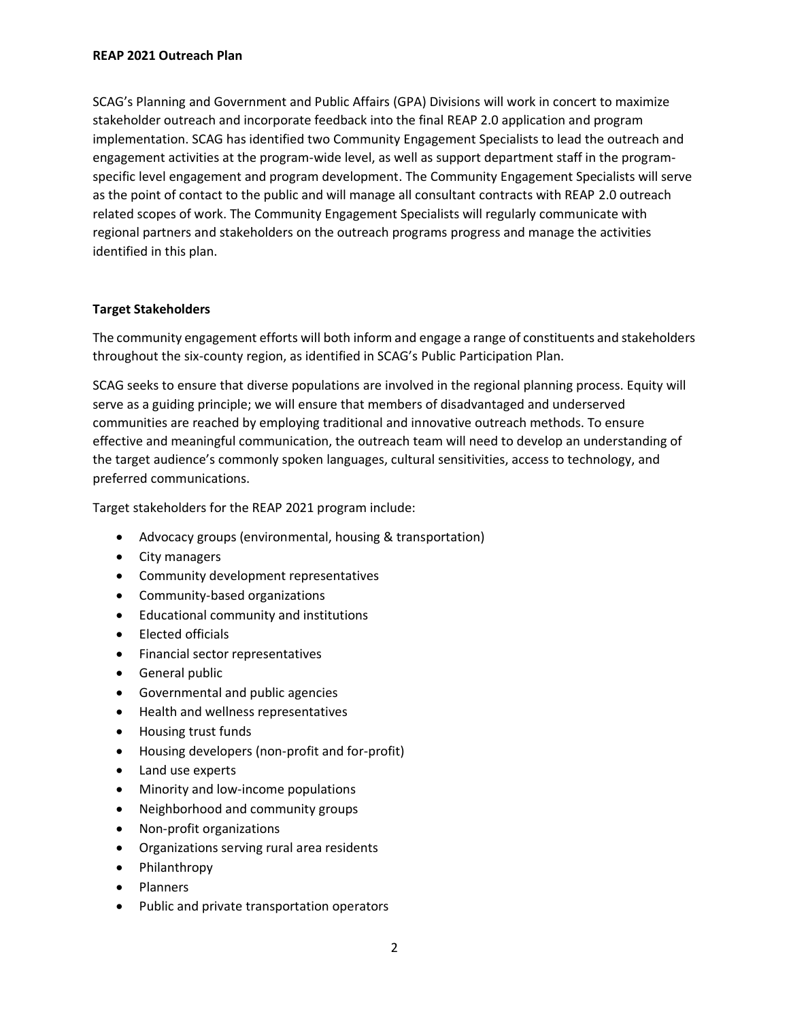SCAG's Planning and Government and Public Affairs (GPA) Divisions will work in concert to maximize stakeholder outreach and incorporate feedback into the final REAP 2.0 application and program implementation. SCAG has identified two Community Engagement Specialists to lead the outreach and engagement activities at the program-wide level, as well as support department staff in the programspecific level engagement and program development. The Community Engagement Specialists will serve as the point of contact to the public and will manage all consultant contracts with REAP 2.0 outreach related scopes of work. The Community Engagement Specialists will regularly communicate with regional partners and stakeholders on the outreach programs progress and manage the activities identified in this plan.

## **Target Stakeholders**

The community engagement efforts will both inform and engage a range of constituents and stakeholders throughout the six-county region, as identified in SCAG's Public Participation Plan.

SCAG seeks to ensure that diverse populations are involved in the regional planning process. Equity will serve as a guiding principle; we will ensure that members of disadvantaged and underserved communities are reached by employing traditional and innovative outreach methods. To ensure effective and meaningful communication, the outreach team will need to develop an understanding of the target audience's commonly spoken languages, cultural sensitivities, access to technology, and preferred communications.

Target stakeholders for the REAP 2021 program include:

- Advocacy groups (environmental, housing & transportation)
- City managers
- Community development representatives
- Community-based organizations
- Educational community and institutions
- Elected officials
- Financial sector representatives
- General public
- Governmental and public agencies
- Health and wellness representatives
- Housing trust funds
- Housing developers (non-profit and for-profit)
- Land use experts
- Minority and low-income populations
- Neighborhood and community groups
- Non-profit organizations
- Organizations serving rural area residents
- Philanthropy
- Planners
- Public and private transportation operators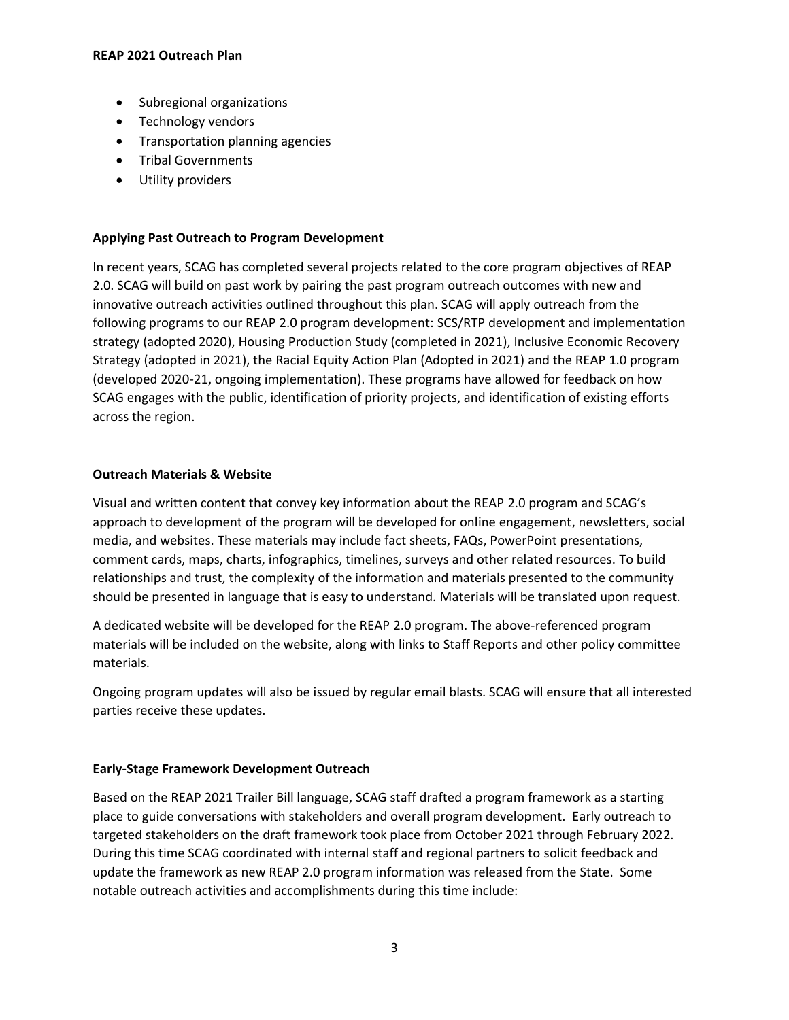- Subregional organizations
- Technology vendors
- Transportation planning agencies
- Tribal Governments
- Utility providers

# **Applying Past Outreach to Program Development**

In recent years, SCAG has completed several projects related to the core program objectives of REAP 2.0. SCAG will build on past work by pairing the past program outreach outcomes with new and innovative outreach activities outlined throughout this plan. SCAG will apply outreach from the following programs to our REAP 2.0 program development: SCS/RTP development and implementation strategy (adopted 2020), Housing Production Study (completed in 2021), Inclusive Economic Recovery Strategy (adopted in 2021), the Racial Equity Action Plan (Adopted in 2021) and the REAP 1.0 program (developed 2020-21, ongoing implementation). These programs have allowed for feedback on how SCAG engages with the public, identification of priority projects, and identification of existing efforts across the region.

# **Outreach Materials & Website**

Visual and written content that convey key information about the REAP 2.0 program and SCAG's approach to development of the program will be developed for online engagement, newsletters, social media, and websites. These materials may include fact sheets, FAQs, PowerPoint presentations, comment cards, maps, charts, infographics, timelines, surveys and other related resources. To build relationships and trust, the complexity of the information and materials presented to the community should be presented in language that is easy to understand. Materials will be translated upon request.

A dedicated website will be developed for the REAP 2.0 program. The above-referenced program materials will be included on the website, along with links to Staff Reports and other policy committee materials.

Ongoing program updates will also be issued by regular email blasts. SCAG will ensure that all interested parties receive these updates.

# **Early-Stage Framework Development Outreach**

Based on the REAP 2021 Trailer Bill language, SCAG staff drafted a program framework as a starting place to guide conversations with stakeholders and overall program development. Early outreach to targeted stakeholders on the draft framework took place from October 2021 through February 2022. During this time SCAG coordinated with internal staff and regional partners to solicit feedback and update the framework as new REAP 2.0 program information was released from the State. Some notable outreach activities and accomplishments during this time include: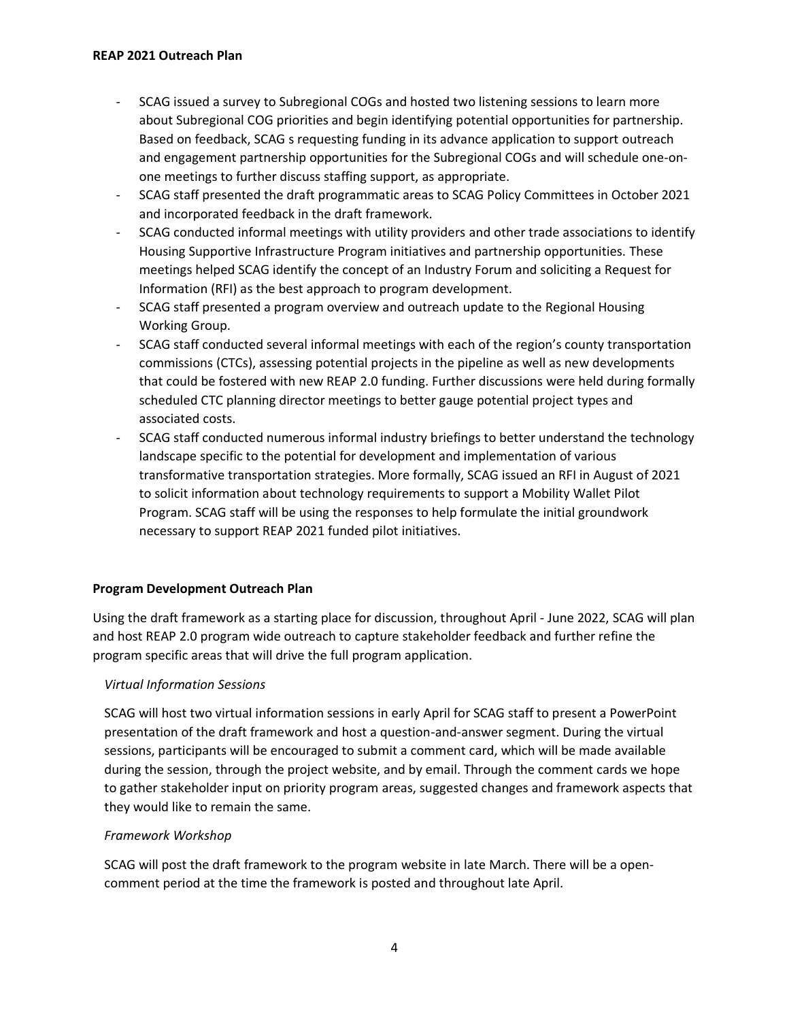- SCAG issued a survey to Subregional COGs and hosted two listening sessions to learn more about Subregional COG priorities and begin identifying potential opportunities for partnership. Based on feedback, SCAG s requesting funding in its advance application to support outreach and engagement partnership opportunities for the Subregional COGs and will schedule one-onone meetings to further discuss staffing support, as appropriate.
- SCAG staff presented the draft programmatic areas to SCAG Policy Committees in October 2021 and incorporated feedback in the draft framework.
- SCAG conducted informal meetings with utility providers and other trade associations to identify Housing Supportive Infrastructure Program initiatives and partnership opportunities. These meetings helped SCAG identify the concept of an Industry Forum and soliciting a Request for Information (RFI) as the best approach to program development.
- SCAG staff presented a program overview and outreach update to the Regional Housing Working Group.
- SCAG staff conducted several informal meetings with each of the region's county transportation commissions (CTCs), assessing potential projects in the pipeline as well as new developments that could be fostered with new REAP 2.0 funding. Further discussions were held during formally scheduled CTC planning director meetings to better gauge potential project types and associated costs.
- SCAG staff conducted numerous informal industry briefings to better understand the technology landscape specific to the potential for development and implementation of various transformative transportation strategies. More formally, SCAG issued an RFI in August of 2021 to solicit information about technology requirements to support a Mobility Wallet Pilot Program. SCAG staff will be using the responses to help formulate the initial groundwork necessary to support REAP 2021 funded pilot initiatives.

### **Program Development Outreach Plan**

Using the draft framework as a starting place for discussion, throughout April - June 2022, SCAG will plan and host REAP 2.0 program wide outreach to capture stakeholder feedback and further refine the program specific areas that will drive the full program application.

### *Virtual Information Sessions*

SCAG will host two virtual information sessions in early April for SCAG staff to present a PowerPoint presentation of the draft framework and host a question-and-answer segment. During the virtual sessions, participants will be encouraged to submit a comment card, which will be made available during the session, through the project website, and by email. Through the comment cards we hope to gather stakeholder input on priority program areas, suggested changes and framework aspects that they would like to remain the same.

### *Framework Workshop*

SCAG will post the draft framework to the program website in late March. There will be a opencomment period at the time the framework is posted and throughout late April.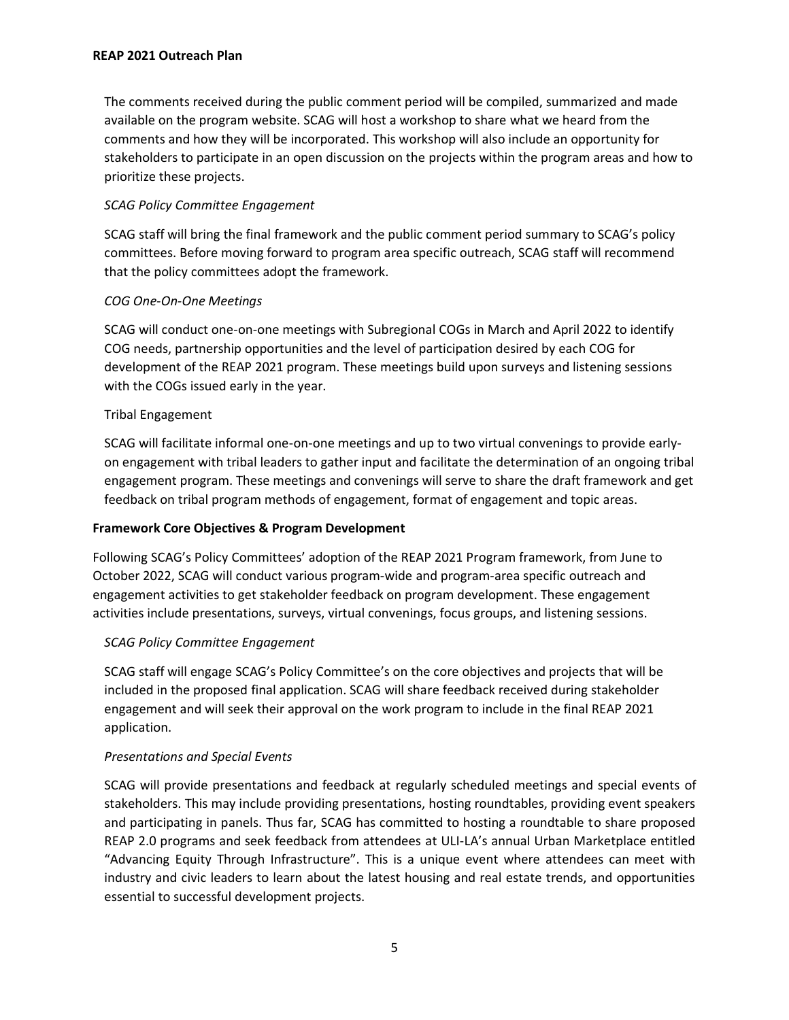#### **REAP 2021 Outreach Plan**

The comments received during the public comment period will be compiled, summarized and made available on the program website. SCAG will host a workshop to share what we heard from the comments and how they will be incorporated. This workshop will also include an opportunity for stakeholders to participate in an open discussion on the projects within the program areas and how to prioritize these projects.

## *SCAG Policy Committee Engagement*

SCAG staff will bring the final framework and the public comment period summary to SCAG's policy committees. Before moving forward to program area specific outreach, SCAG staff will recommend that the policy committees adopt the framework.

## *COG One-On-One Meetings*

SCAG will conduct one-on-one meetings with Subregional COGs in March and April 2022 to identify COG needs, partnership opportunities and the level of participation desired by each COG for development of the REAP 2021 program. These meetings build upon surveys and listening sessions with the COGs issued early in the year.

## Tribal Engagement

SCAG will facilitate informal one-on-one meetings and up to two virtual convenings to provide earlyon engagement with tribal leaders to gather input and facilitate the determination of an ongoing tribal engagement program. These meetings and convenings will serve to share the draft framework and get feedback on tribal program methods of engagement, format of engagement and topic areas.

# **Framework Core Objectives & Program Development**

Following SCAG's Policy Committees' adoption of the REAP 2021 Program framework, from June to October 2022, SCAG will conduct various program-wide and program-area specific outreach and engagement activities to get stakeholder feedback on program development. These engagement activities include presentations, surveys, virtual convenings, focus groups, and listening sessions.

### *SCAG Policy Committee Engagement*

SCAG staff will engage SCAG's Policy Committee's on the core objectives and projects that will be included in the proposed final application. SCAG will share feedback received during stakeholder engagement and will seek their approval on the work program to include in the final REAP 2021 application.

### *Presentations and Special Events*

SCAG will provide presentations and feedback at regularly scheduled meetings and special events of stakeholders. This may include providing presentations, hosting roundtables, providing event speakers and participating in panels. Thus far, SCAG has committed to hosting a roundtable to share proposed REAP 2.0 programs and seek feedback from attendees at ULI-LA's annual Urban Marketplace entitled "Advancing Equity Through Infrastructure". This is a unique event where attendees can meet with industry and civic leaders to learn about the latest housing and real estate trends, and opportunities essential to successful development projects.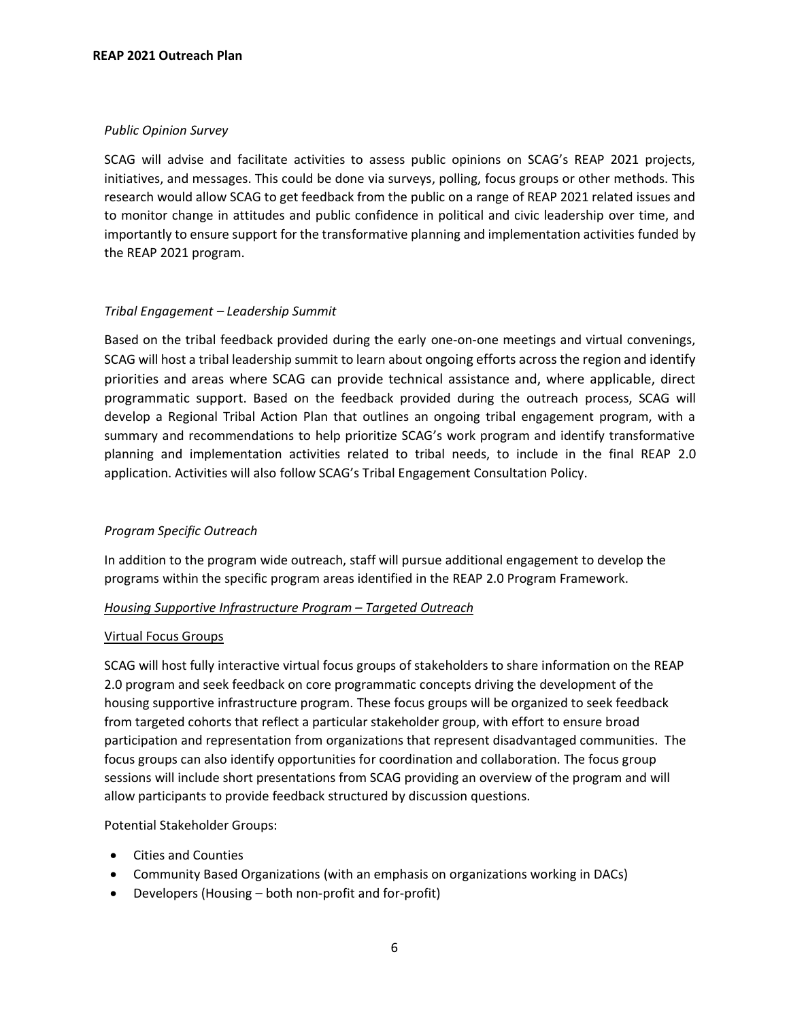## *Public Opinion Survey*

SCAG will advise and facilitate activities to assess public opinions on SCAG's REAP 2021 projects, initiatives, and messages. This could be done via surveys, polling, focus groups or other methods. This research would allow SCAG to get feedback from the public on a range of REAP 2021 related issues and to monitor change in attitudes and public confidence in political and civic leadership over time, and importantly to ensure support for the transformative planning and implementation activities funded by the REAP 2021 program.

## *Tribal Engagement – Leadership Summit*

Based on the tribal feedback provided during the early one-on-one meetings and virtual convenings, SCAG will host a tribal leadership summit to learn about ongoing efforts across the region and identify priorities and areas where SCAG can provide technical assistance and, where applicable, direct programmatic support. Based on the feedback provided during the outreach process, SCAG will develop a Regional Tribal Action Plan that outlines an ongoing tribal engagement program, with a summary and recommendations to help prioritize SCAG's work program and identify transformative planning and implementation activities related to tribal needs, to include in the final REAP 2.0 application. Activities will also follow SCAG's Tribal Engagement Consultation Policy.

# *Program Specific Outreach*

In addition to the program wide outreach, staff will pursue additional engagement to develop the programs within the specific program areas identified in the REAP 2.0 Program Framework.

### *Housing Supportive Infrastructure Program – Targeted Outreach*

### Virtual Focus Groups

SCAG will host fully interactive virtual focus groups of stakeholders to share information on the REAP 2.0 program and seek feedback on core programmatic concepts driving the development of the housing supportive infrastructure program. These focus groups will be organized to seek feedback from targeted cohorts that reflect a particular stakeholder group, with effort to ensure broad participation and representation from organizations that represent disadvantaged communities. The focus groups can also identify opportunities for coordination and collaboration. The focus group sessions will include short presentations from SCAG providing an overview of the program and will allow participants to provide feedback structured by discussion questions.

Potential Stakeholder Groups:

- Cities and Counties
- Community Based Organizations (with an emphasis on organizations working in DACs)
- Developers (Housing both non-profit and for-profit)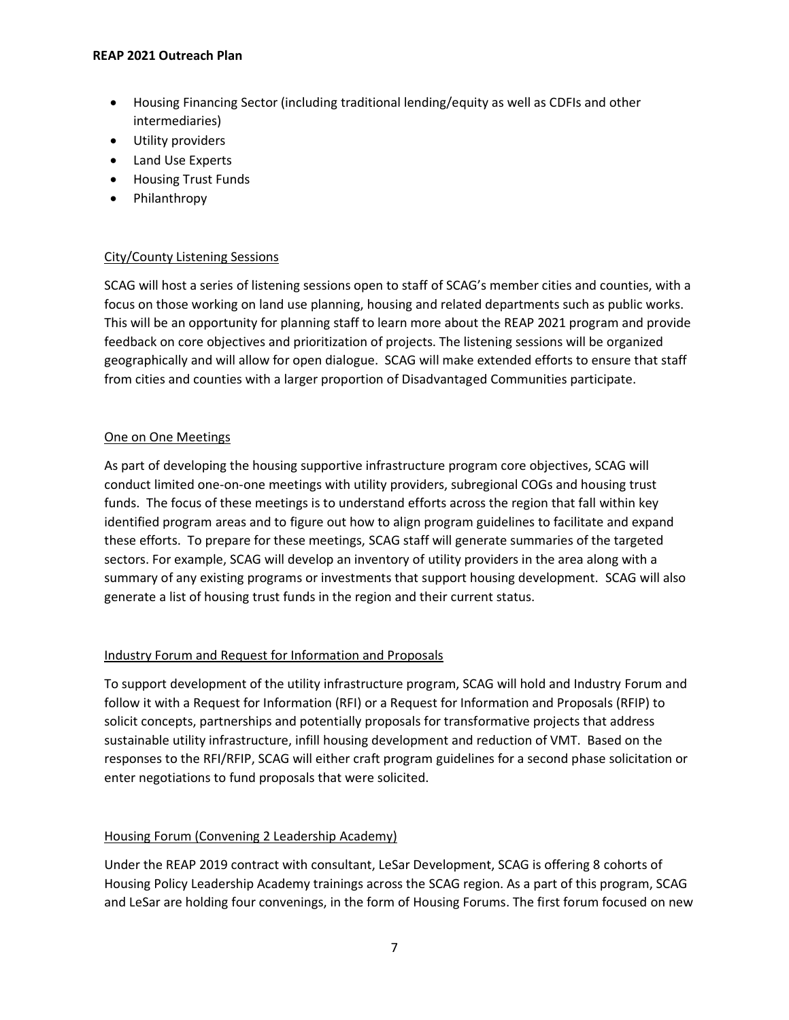#### **REAP 2021 Outreach Plan**

- Housing Financing Sector (including traditional lending/equity as well as CDFIs and other intermediaries)
- Utility providers
- Land Use Experts
- Housing Trust Funds
- Philanthropy

## City/County Listening Sessions

SCAG will host a series of listening sessions open to staff of SCAG's member cities and counties, with a focus on those working on land use planning, housing and related departments such as public works. This will be an opportunity for planning staff to learn more about the REAP 2021 program and provide feedback on core objectives and prioritization of projects. The listening sessions will be organized geographically and will allow for open dialogue. SCAG will make extended efforts to ensure that staff from cities and counties with a larger proportion of Disadvantaged Communities participate.

## One on One Meetings

As part of developing the housing supportive infrastructure program core objectives, SCAG will conduct limited one-on-one meetings with utility providers, subregional COGs and housing trust funds. The focus of these meetings is to understand efforts across the region that fall within key identified program areas and to figure out how to align program guidelines to facilitate and expand these efforts. To prepare for these meetings, SCAG staff will generate summaries of the targeted sectors. For example, SCAG will develop an inventory of utility providers in the area along with a summary of any existing programs or investments that support housing development. SCAG will also generate a list of housing trust funds in the region and their current status.

# Industry Forum and Request for Information and Proposals

To support development of the utility infrastructure program, SCAG will hold and Industry Forum and follow it with a Request for Information (RFI) or a Request for Information and Proposals (RFIP) to solicit concepts, partnerships and potentially proposals for transformative projects that address sustainable utility infrastructure, infill housing development and reduction of VMT. Based on the responses to the RFI/RFIP, SCAG will either craft program guidelines for a second phase solicitation or enter negotiations to fund proposals that were solicited.

# Housing Forum (Convening 2 Leadership Academy)

Under the REAP 2019 contract with consultant, LeSar Development, SCAG is offering 8 cohorts of Housing Policy Leadership Academy trainings across the SCAG region. As a part of this program, SCAG and LeSar are holding four convenings, in the form of Housing Forums. The first forum focused on new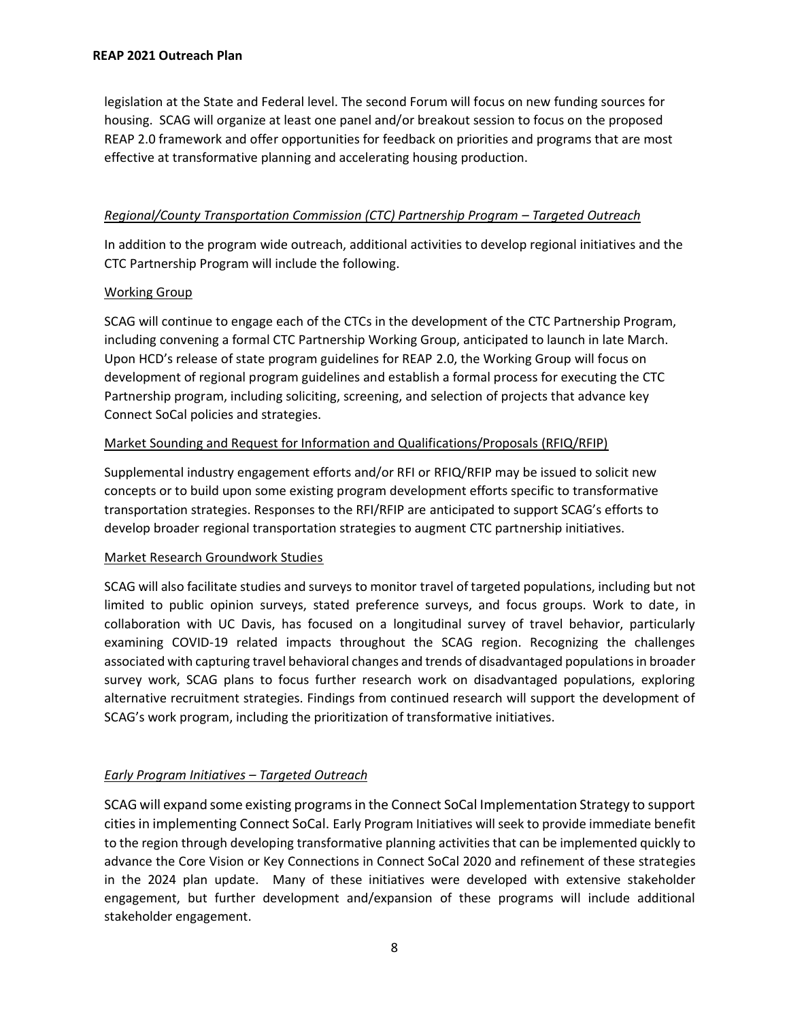legislation at the State and Federal level. The second Forum will focus on new funding sources for housing. SCAG will organize at least one panel and/or breakout session to focus on the proposed REAP 2.0 framework and offer opportunities for feedback on priorities and programs that are most effective at transformative planning and accelerating housing production.

## *Regional/County Transportation Commission (CTC) Partnership Program – Targeted Outreach*

In addition to the program wide outreach, additional activities to develop regional initiatives and the CTC Partnership Program will include the following.

## Working Group

SCAG will continue to engage each of the CTCs in the development of the CTC Partnership Program, including convening a formal CTC Partnership Working Group, anticipated to launch in late March. Upon HCD's release of state program guidelines for REAP 2.0, the Working Group will focus on development of regional program guidelines and establish a formal process for executing the CTC Partnership program, including soliciting, screening, and selection of projects that advance key Connect SoCal policies and strategies.

## Market Sounding and Request for Information and Qualifications/Proposals (RFIQ/RFIP)

Supplemental industry engagement efforts and/or RFI or RFIQ/RFIP may be issued to solicit new concepts or to build upon some existing program development efforts specific to transformative transportation strategies. Responses to the RFI/RFIP are anticipated to support SCAG's efforts to develop broader regional transportation strategies to augment CTC partnership initiatives.

### Market Research Groundwork Studies

SCAG will also facilitate studies and surveys to monitor travel of targeted populations, including but not limited to public opinion surveys, stated preference surveys, and focus groups. Work to date, in collaboration with UC Davis, has focused on a longitudinal survey of travel behavior, particularly examining COVID-19 related impacts throughout the SCAG region. Recognizing the challenges associated with capturing travel behavioral changes and trends of disadvantaged populations in broader survey work, SCAG plans to focus further research work on disadvantaged populations, exploring alternative recruitment strategies. Findings from continued research will support the development of SCAG's work program, including the prioritization of transformative initiatives.

# *Early Program Initiatives – Targeted Outreach*

SCAG will expand some existing programs in the Connect SoCal Implementation Strategy to support cities in implementing Connect SoCal. Early Program Initiatives will seek to provide immediate benefit to the region through developing transformative planning activities that can be implemented quickly to advance the Core Vision or Key Connections in Connect SoCal 2020 and refinement of these strategies in the 2024 plan update. Many of these initiatives were developed with extensive stakeholder engagement, but further development and/expansion of these programs will include additional stakeholder engagement.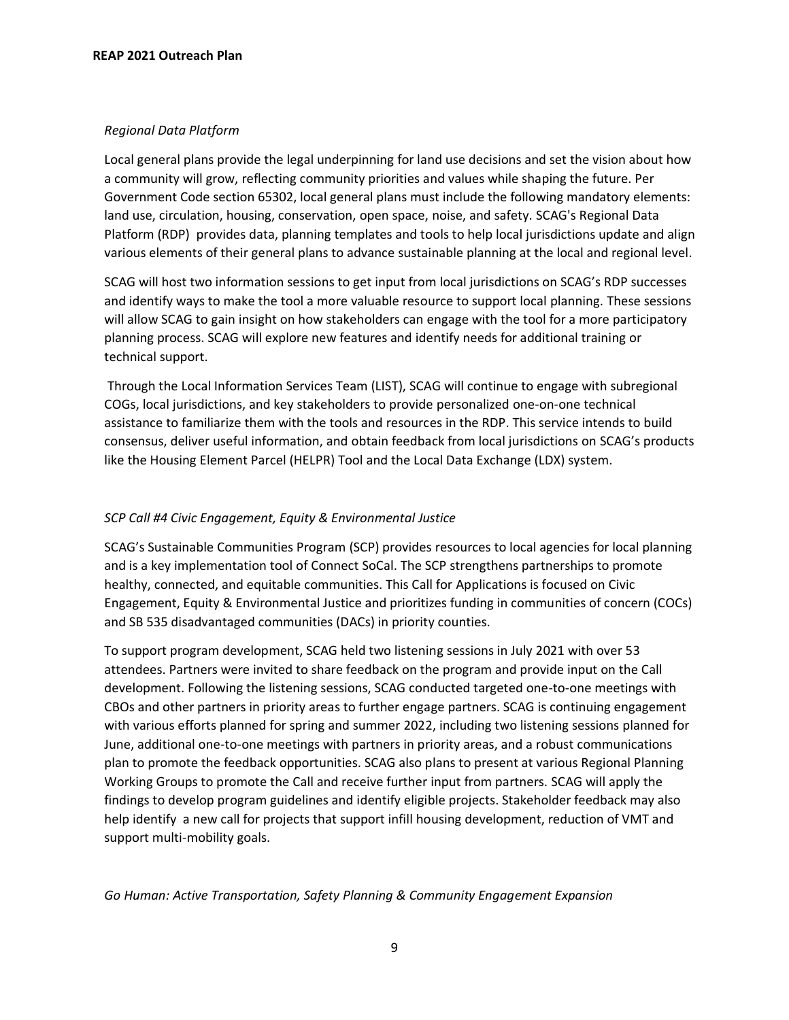### *Regional Data Platform*

Local general plans provide the legal underpinning for land use decisions and set the vision about how a community will grow, reflecting community priorities and values while shaping the future. Per Government Code section 65302, local general plans must include the following mandatory elements: land use, circulation, housing, conservation, open space, noise, and safety. SCAG's Regional Data Platform (RDP) provides data, planning templates and tools to help local jurisdictions update and align various elements of their general plans to advance sustainable planning at the local and regional level.

SCAG will host two information sessions to get input from local jurisdictions on SCAG's RDP successes and identify ways to make the tool a more valuable resource to support local planning. These sessions will allow SCAG to gain insight on how stakeholders can engage with the tool for a more participatory planning process. SCAG will explore new features and identify needs for additional training or technical support.

Through the Local Information Services Team (LIST), SCAG will continue to engage with subregional COGs, local jurisdictions, and key stakeholders to provide personalized one-on-one technical assistance to familiarize them with the tools and resources in the RDP. This service intends to build consensus, deliver useful information, and obtain feedback from local jurisdictions on SCAG's products like the Housing Element Parcel (HELPR) Tool and the Local Data Exchange (LDX) system.

## *SCP Call #4 Civic Engagement, Equity & Environmental Justice*

SCAG's Sustainable Communities Program (SCP) provides resources to local agencies for local planning and is a key implementation tool of Connect SoCal. The SCP strengthens partnerships to promote healthy, connected, and equitable communities. This Call for Applications is focused on Civic Engagement, Equity & Environmental Justice and prioritizes funding in communities of concern (COCs) and SB 535 disadvantaged communities (DACs) in priority counties.

To support program development, SCAG held two listening sessions in July 2021 with over 53 attendees. Partners were invited to share feedback on the program and provide input on the Call development. Following the listening sessions, SCAG conducted targeted one-to-one meetings with CBOs and other partners in priority areas to further engage partners. SCAG is continuing engagement with various efforts planned for spring and summer 2022, including two listening sessions planned for June, additional one-to-one meetings with partners in priority areas, and a robust communications plan to promote the feedback opportunities. SCAG also plans to present at various Regional Planning Working Groups to promote the Call and receive further input from partners. SCAG will apply the findings to develop program guidelines and identify eligible projects. Stakeholder feedback may also help identify a new call for projects that support infill housing development, reduction of VMT and support multi-mobility goals.

*Go Human: Active Transportation, Safety Planning & Community Engagement Expansion*